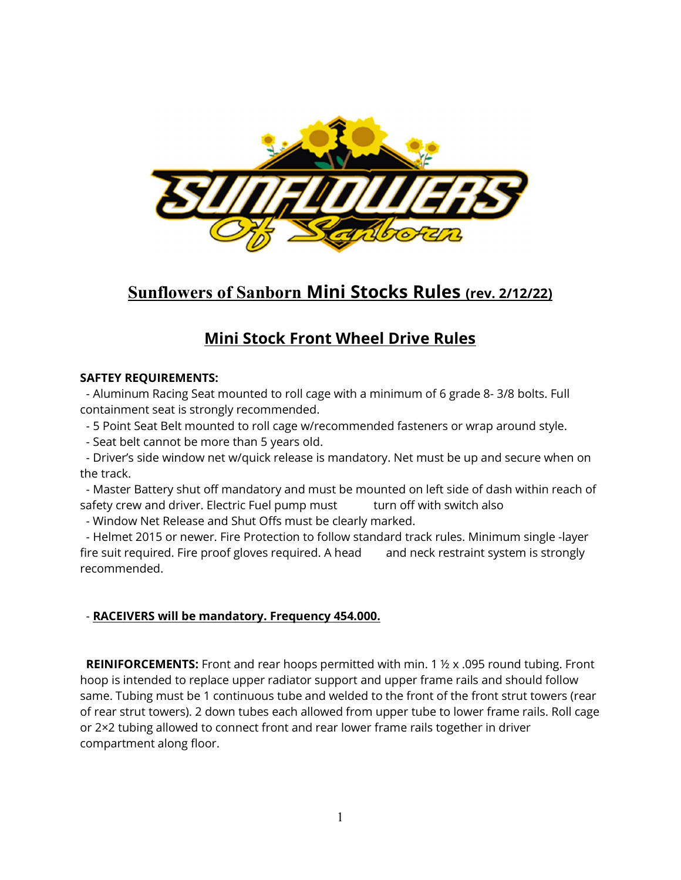

# Sunflowers of Sanborn Mini Stocks Rules (rev. 2/12/22)

# Mini Stock Front Wheel Drive Rules

## SAFTEY REQUIREMENTS:

 - Aluminum Racing Seat mounted to roll cage with a minimum of 6 grade 8- 3/8 bolts. Full containment seat is strongly recommended.

- 5 Point Seat Belt mounted to roll cage w/recommended fasteners or wrap around style.
- Seat belt cannot be more than 5 years old.

 - Driver's side window net w/quick release is mandatory. Net must be up and secure when on the track.

 - Master Battery shut off mandatory and must be mounted on left side of dash within reach of safety crew and driver. Electric Fuel pump must turn off with switch also

- Window Net Release and Shut Offs must be clearly marked.

 - Helmet 2015 or newer. Fire Protection to follow standard track rules. Minimum single -layer fire suit required. Fire proof gloves required. A head and neck restraint system is strongly recommended.

# - RACEIVERS will be mandatory. Frequency 454.000.

**REINIFORCEMENTS:** Front and rear hoops permitted with min. 1  $\frac{1}{2}$  x .095 round tubing. Front hoop is intended to replace upper radiator support and upper frame rails and should follow same. Tubing must be 1 continuous tube and welded to the front of the front strut towers (rear of rear strut towers). 2 down tubes each allowed from upper tube to lower frame rails. Roll cage or 2×2 tubing allowed to connect front and rear lower frame rails together in driver compartment along floor.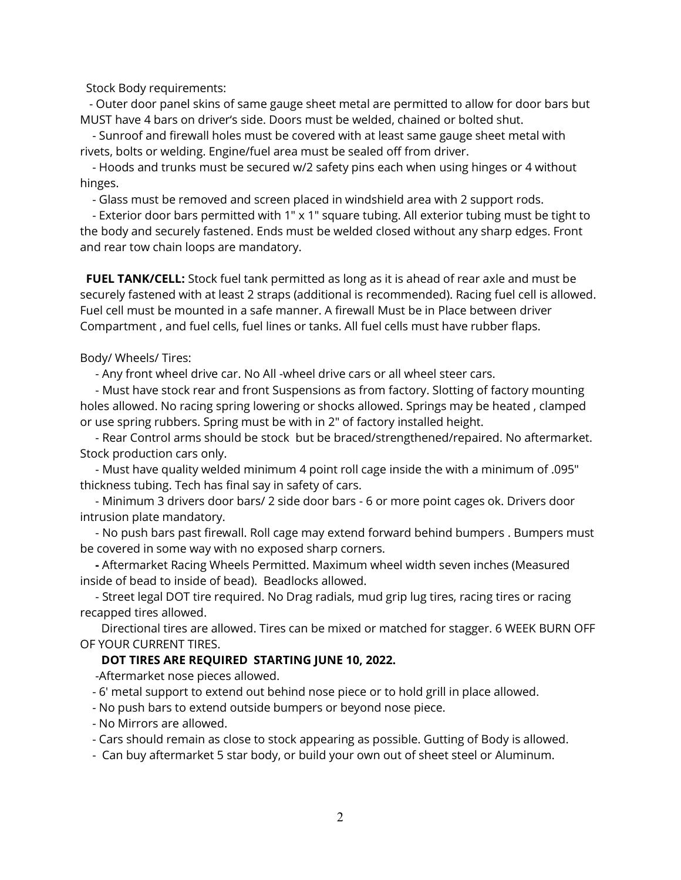Stock Body requirements:

 - Outer door panel skins of same gauge sheet metal are permitted to allow for door bars but MUST have 4 bars on driver's side. Doors must be welded, chained or bolted shut.

 - Sunroof and firewall holes must be covered with at least same gauge sheet metal with rivets, bolts or welding. Engine/fuel area must be sealed off from driver.

 - Hoods and trunks must be secured w/2 safety pins each when using hinges or 4 without hinges.

- Glass must be removed and screen placed in windshield area with 2 support rods.

 - Exterior door bars permitted with 1″ x 1″ square tubing. All exterior tubing must be tight to the body and securely fastened. Ends must be welded closed without any sharp edges. Front and rear tow chain loops are mandatory.

FUEL TANK/CELL: Stock fuel tank permitted as long as it is ahead of rear axle and must be securely fastened with at least 2 straps (additional is recommended). Racing fuel cell is allowed. Fuel cell must be mounted in a safe manner. A firewall Must be in Place between driver Compartment , and fuel cells, fuel lines or tanks. All fuel cells must have rubber flaps.

Body/ Wheels/ Tires:

- Any front wheel drive car. No All -wheel drive cars or all wheel steer cars.

 - Must have stock rear and front Suspensions as from factory. Slotting of factory mounting holes allowed. No racing spring lowering or shocks allowed. Springs may be heated , clamped or use spring rubbers. Spring must be with in 2" of factory installed height.

 - Rear Control arms should be stock but be braced/strengthened/repaired. No aftermarket. Stock production cars only.

 - Must have quality welded minimum 4 point roll cage inside the with a minimum of .095" thickness tubing. Tech has final say in safety of cars.

 - Minimum 3 drivers door bars/ 2 side door bars - 6 or more point cages ok. Drivers door intrusion plate mandatory.

 - No push bars past firewall. Roll cage may extend forward behind bumpers . Bumpers must be covered in some way with no exposed sharp corners.

 - Aftermarket Racing Wheels Permitted. Maximum wheel width seven inches (Measured inside of bead to inside of bead). Beadlocks allowed.

 - Street legal DOT tire required. No Drag radials, mud grip lug tires, racing tires or racing recapped tires allowed.

 Directional tires are allowed. Tires can be mixed or matched for stagger. 6 WEEK BURN OFF OF YOUR CURRENT TIRES.

### DOT TIRES ARE REQUIRED STARTING JUNE 10, 2022.

-Aftermarket nose pieces allowed.

- 6' metal support to extend out behind nose piece or to hold grill in place allowed.

- No push bars to extend outside bumpers or beyond nose piece.
- No Mirrors are allowed.

- Cars should remain as close to stock appearing as possible. Gutting of Body is allowed.

- Can buy aftermarket 5 star body, or build your own out of sheet steel or Aluminum.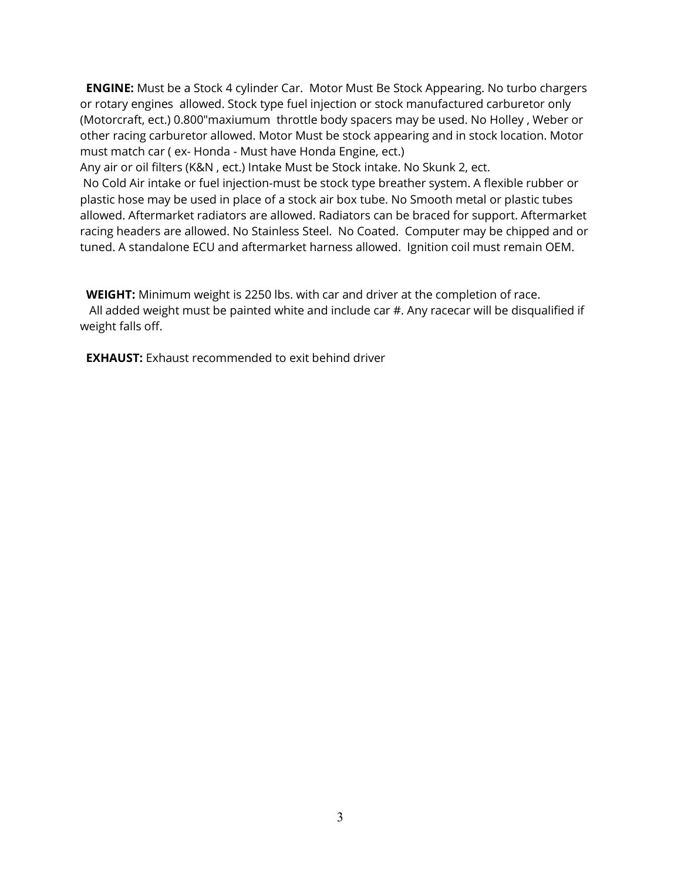**ENGINE:** Must be a Stock 4 cylinder Car. Motor Must Be Stock Appearing. No turbo chargers or rotary engines allowed. Stock type fuel injection or stock manufactured carburetor only (Motorcraft, ect.) 0.800"maxiumum throttle body spacers may be used. No Holley , Weber or other racing carburetor allowed. Motor Must be stock appearing and in stock location. Motor must match car ( ex- Honda - Must have Honda Engine, ect.)

Any air or oil filters (K&N , ect.) Intake Must be Stock intake. No Skunk 2, ect.

 No Cold Air intake or fuel injection-must be stock type breather system. A flexible rubber or plastic hose may be used in place of a stock air box tube. No Smooth metal or plastic tubes allowed. Aftermarket radiators are allowed. Radiators can be braced for support. Aftermarket racing headers are allowed. No Stainless Steel. No Coated. Computer may be chipped and or tuned. A standalone ECU and aftermarket harness allowed. Ignition coil must remain OEM.

WEIGHT: Minimum weight is 2250 lbs. with car and driver at the completion of race. All added weight must be painted white and include car #. Any racecar will be disqualified if weight falls off.

**EXHAUST:** Exhaust recommended to exit behind driver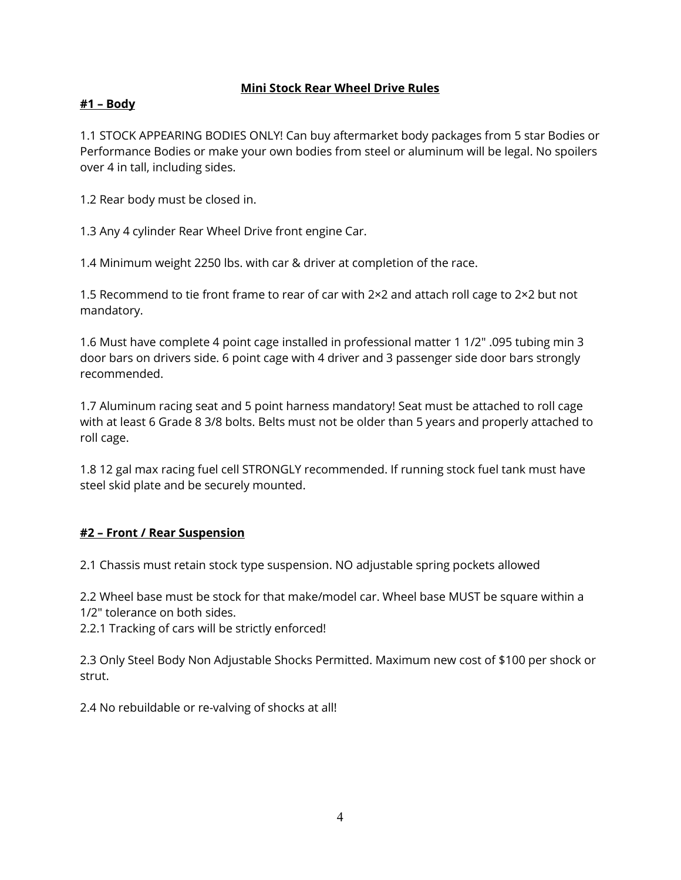## Mini Stock Rear Wheel Drive Rules

# #1 – Body

1.1 STOCK APPEARING BODIES ONLY! Can buy aftermarket body packages from 5 star Bodies or Performance Bodies or make your own bodies from steel or aluminum will be legal. No spoilers over 4 in tall, including sides.

1.2 Rear body must be closed in.

1.3 Any 4 cylinder Rear Wheel Drive front engine Car.

1.4 Minimum weight 2250 lbs. with car & driver at completion of the race.

1.5 Recommend to tie front frame to rear of car with 2×2 and attach roll cage to 2×2 but not mandatory.

1.6 Must have complete 4 point cage installed in professional matter 1 1/2″ .095 tubing min 3 door bars on drivers side. 6 point cage with 4 driver and 3 passenger side door bars strongly recommended.

1.7 Aluminum racing seat and 5 point harness mandatory! Seat must be attached to roll cage with at least 6 Grade 8 3/8 bolts. Belts must not be older than 5 years and properly attached to roll cage.

1.8 12 gal max racing fuel cell STRONGLY recommended. If running stock fuel tank must have steel skid plate and be securely mounted.

## #2 – Front / Rear Suspension

2.1 Chassis must retain stock type suspension. NO adjustable spring pockets allowed

2.2 Wheel base must be stock for that make/model car. Wheel base MUST be square within a 1/2″ tolerance on both sides.

2.2.1 Tracking of cars will be strictly enforced!

2.3 Only Steel Body Non Adjustable Shocks Permitted. Maximum new cost of \$100 per shock or strut.

2.4 No rebuildable or re-valving of shocks at all!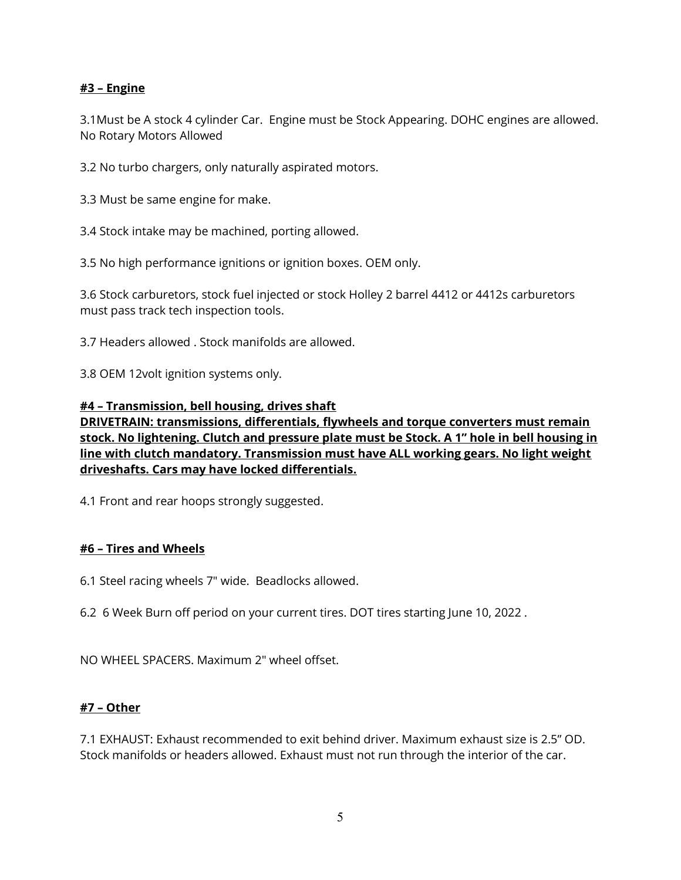## #3 – Engine

3.1Must be A stock 4 cylinder Car. Engine must be Stock Appearing. DOHC engines are allowed. No Rotary Motors Allowed

3.2 No turbo chargers, only naturally aspirated motors.

3.3 Must be same engine for make.

3.4 Stock intake may be machined, porting allowed.

3.5 No high performance ignitions or ignition boxes. OEM only.

3.6 Stock carburetors, stock fuel injected or stock Holley 2 barrel 4412 or 4412s carburetors must pass track tech inspection tools.

3.7 Headers allowed . Stock manifolds are allowed.

3.8 OEM 12volt ignition systems only.

### #4 – Transmission, bell housing, drives shaft

DRIVETRAIN: transmissions, differentials, flywheels and torque converters must remain stock. No lightening. Clutch and pressure plate must be Stock. A 1" hole in bell housing in line with clutch mandatory. Transmission must have ALL working gears. No light weight driveshafts. Cars may have locked differentials.

4.1 Front and rear hoops strongly suggested.

### #6 – Tires and Wheels

6.1 Steel racing wheels 7" wide. Beadlocks allowed.

6.2 6 Week Burn off period on your current tires. DOT tires starting June 10, 2022 .

NO WHEEL SPACERS. Maximum 2" wheel offset.

### #7 – Other

7.1 EXHAUST: Exhaust recommended to exit behind driver. Maximum exhaust size is 2.5" OD. Stock manifolds or headers allowed. Exhaust must not run through the interior of the car.